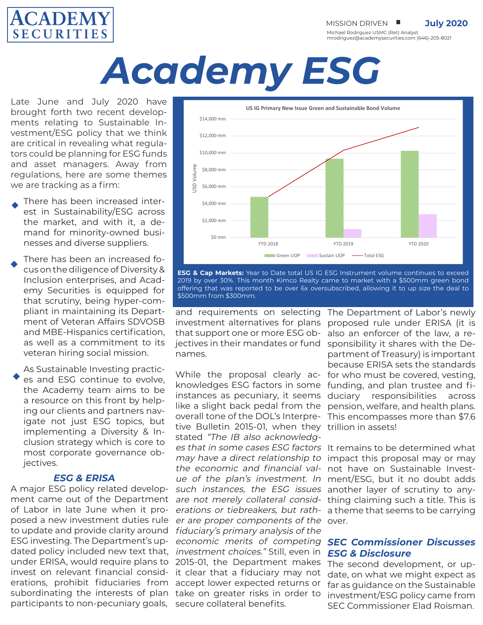

MISSION DRIVEN **U** July 2020

Michael Rodriguez USMC (Ret) Analyst mrodriguez@academysecurities.com (646)-205-8021

# *Academy ESG*

Late June and July 2020 have brought forth two recent developments relating to Sustainable Investment/ESG policy that we think are critical in revealing what regulators could be planning for ESG funds and asset managers. Away from regulations, here are some themes we are tracking as a firm:

- There has been increased interest in Sustainability/ESG across the market, and with it, a demand for minority-owned businesses and diverse suppliers.
- There has been an increased focus on the diligence of Diversity & Inclusion enterprises, and Academy Securities is equipped for that scrutiny, being hyper-compliant in maintaining its Department of Veteran Affairs SDVOSB and MBE-Hispanics certification, as well as a commitment to its veteran hiring social mission.
- As Sustainable Investing practices and ESG continue to evolve, the Academy team aims to be a resource on this front by helping our clients and partners navigate not just ESG topics, but implementing a Diversity & Inclusion strategy which is core to most corporate governance objectives.

### *ESG & ERISA*

under ERISA, would require plans to 2015-01, the Department makes invest on relevant financial consid- it clear that a fiduciary may not erations, prohibit fiduciaries from accept lower expected returns or subordinating the interests of plan take on greater risks in order to participants to non-pecuniary goals, secure collateral benefits. A major ESG policy related development came out of the Department of Labor in late June when it proposed a new investment duties rule to update and provide clarity around ESG investing. The Department's updated policy included new text that,



**ESG & Cap Markets:** Year to Date total US IG ESG Instrument volume continues to exceed 2019 by over 30%. This month Kimco Realty came to market with a \$500mm green bond offering that was reported to be over 6x oversubscribed, allowing it to up size the deal to \$500mm from \$300mm.

and requirements on selecting The Department of Labor's newly that support one or more ESG obnames.

tive Bulletin 2015-01, when they trillion in assets! stated "The IB also acknowledges that in some cases ESG factors It remains to be determined what er are proper components of the over. fiduciary's primary analysis of the economic merits of competing investment choices." Still, even in

investment alternatives for plans proposed rule under ERISA (it is jectives in their mandates or fund sponsibility it shares with the De-While the proposal clearly ac- for who must be covered, vesting, knowledges ESG factors in some funding, and plan trustee and fiinstances as pecuniary, it seems duciary responsibilities across like a slight back pedal from the pension, welfare, and health plans. overall tone of the DOL's Interpre-This encompasses more than \$7.6 also an enforcer of the law, a repartment of Treasury) is important because ERISA sets the standards

may have a direct relationship to impact this proposal may or may the economic and financial val- not have on Sustainable Investue of the plan's investment. In ment/ESG, but it no doubt adds such instances, the ESG issues another layer of scrutiny to anyare not merely collateral consid- thing claiming such a title. This is erations or tiebreakers, but rath-a theme that seems to be carrying

### *SEC Commissioner Discusses ESG & Disclosure*

The second development, or update, on what we might expect as far as guidance on the Sustainable investment/ESG policy came from SEC Commissioner Elad Roisman.